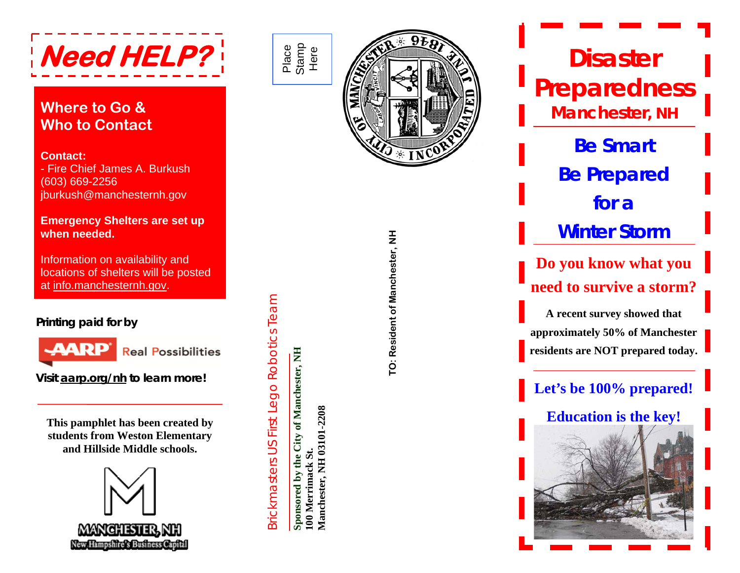

### **Where to Go & Who to Contact**

#### **Contact:**

- Fire Chief James A. Burkush (603) 669-2256 jburkush@manchesternh.gov

#### **Emergency Shelters are set up when needed.**

Information on availability and locations of shelters will be posted at [info.manchesternh.gov](http://info.manchesternh.gov/).

#### **Printing paid for by**



**Visit [aarp.org/nh](http://aarp.org/nh) to learn more!**

**This pamphlet has been created by students from Weston Elementary and Hillside Middle schools.** 



Place Stamp Here

Brickmasters US First Lego Robotics Team

Brickmasters US First Lego Robotics Team

**Sponsored by the City of Manchester, NH** 

Sponsored by the City of Manchester, NH

**100 Merrimack St.** 

100 Merrimack St.

**Manchester, NH 03101-2208**

Manchester, NH 03101-2208



**TO: Resident of Manchester, NH**  TO: Resident of Manchester, NH

**Disaster Preparedness Manchester, NH Be Smart Be Prepared for a Winter StormDo you know what you need to survive a storm?A recent survey showed that approximately 50% of Manchester residents are NOT prepared today. Let's be 100% prepared! Education is the key!**